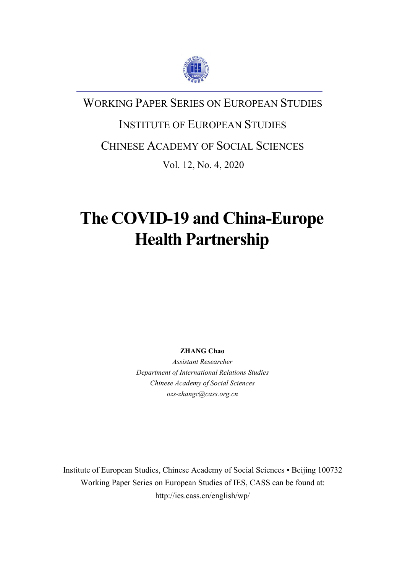

## WORKING PAPER SERIES ON EUROPEAN STUDIES

# INSTITUTE OF EUROPEAN STUDIES

### CHINESE ACADEMY OF SOCIAL SCIENCES

Vol. 12, No. 4, 2020

## **The COVID-19 and China-Europe Health Partnership**

**ZHANG Chao**

*Assistant Researcher Department of International Relations Studies Chinese Academy of Social Sciences ozs-zhangc@cass.org.cn*

Institute of European Studies, Chinese Academy of Social Sciences • Beijing 100732 Working Paper Series on European Studies of IES, CASS can be found at: http://ies.cass.cn/english/wp/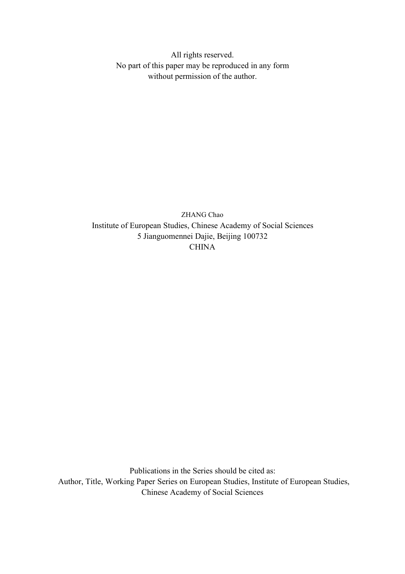All rights reserved. No part of this paper may be reproduced in any form without permission of the author.

ZHANG Chao Institute of European Studies, Chinese Academy of Social Sciences 5 Jianguomennei Dajie, Beijing 100732 **CHINA** 

Publications in the Series should be cited as: Author, Title, Working Paper Series on European Studies, Institute of European Studies, Chinese Academy of Social Sciences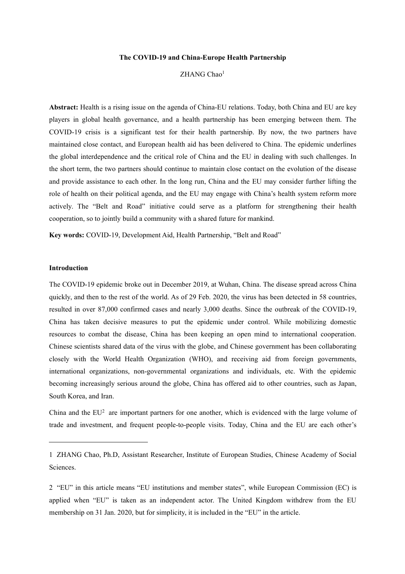#### **The COVID-19 and China-Europe Health Partnership**

#### ZHANG Chao<sup>1</sup>  $1$  and  $1$  and  $1$

**Abstract:** Health is a rising issue on the agenda of China-EU relations. Today, both China and EU are key players in global health governance, and a health partnership has been emerging between them. The COVID-19 crisis is a significant test for their health partnership. By now, the two partners have maintained close contact, and European health aid has been delivered to China. The epidemic underlines the global interdependence and the critical role of China and the EU in dealing with such challenges. In the short term, the two partners should continue to maintain close contact on the evolution of the disease and provide assistance to each other. In the long run, China and the EU may consider further lifting the role of health on their political agenda, and the EU may engage with China's health system reform more actively. The "Belt and Road" initiative could serve as a platform for strengthening their health cooperation, so to jointly build a community with a shared future for mankind.

**Key words:** COVID-19, Development Aid, Health Partnership, "Belt and Road"

#### **Introduction**

The COVID-19 epidemic broke out in December 2019, at Wuhan, China. The disease spread across China quickly, and then to the rest of the world. As of 29 Feb. 2020, the virus has been detected in 58 countries, resulted in over 87,000 confirmed cases and nearly 3,000 deaths. Since the outbreak of the COVID-19, China has taken decisive measures to put the epidemic under control. While mobilizing domestic resources to combat the disease, China has been keeping an open mind to international cooperation. Chinese scientists shared data of the virus with the globe, and Chinese government has been collaborating closely with the World Health Organization (WHO), and receiving aid from foreign governments, international organizations, non-governmental organizations and individuals, etc. With the epidemic becoming increasingly serious around the globe, China has offered aid to other countries, such as Japan, South Korea, and Iran.

China and the  $EU^2$  $EU^2$  are important partners for one another, which is evidenced with the large volume of trade and investment, and frequent people-to-people visits. Today, China and the EU are each other's

<span id="page-2-0"></span><sup>1</sup> ZHANG Chao, Ph.D, Assistant Researcher, Institute of European Studies, Chinese Academy of Social Sciences.

<span id="page-2-1"></span><sup>2</sup> "EU" in this article means "EU institutions and member states", while European Commission (EC) is applied when "EU" is taken as an independent actor. The United Kingdom withdrew from the EU membership on 31 Jan. 2020, but for simplicity, it is included in the "EU" in the article.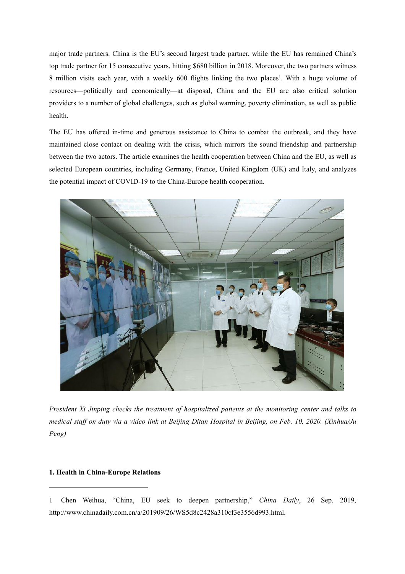major trade partners. China is the EU's second largest trade partner, while the EU has remained China's top trade partner for 15 consecutive years, hitting \$680 billion in 2018. Moreover, the two partners witness 8 million visits each year, with a weekly 600 flights linking the two places [1](#page-3-0) . With a huge volume of resources—politically and economically—at disposal, China and the EU are also critical solution providers to a number of global challenges, such as global warming, poverty elimination, as well as public health.

The EU has offered in-time and generous assistance to China to combat the outbreak, and they have maintained close contact on dealing with the crisis, which mirrors the sound friendship and partnership between the two actors. The article examines the health cooperation between China and the EU, as well as selected European countries, including Germany, France, United Kingdom (UK) and Italy, and analyzes the potential impact of COVID-19 to the China-Europe health cooperation.



*President Xi Jinping checks the treatment of hospitalized patients at the monitoring center and talks to* medical staff on duty via a video link at Beijing Ditan Hospital in Beijing, on Feb. 10, 2020. (Xinhua/Ju *Peng)*

#### **1. Health in China-Europe Relations**

<span id="page-3-0"></span><sup>1</sup> Chen Weihua, "China, EU seek to deepen partnership," *China Daily*, 26 Sep. 2019, http://www.chinadaily.com.cn/a/201909/26/WS5d8c2428a310cf3e3556d993.html.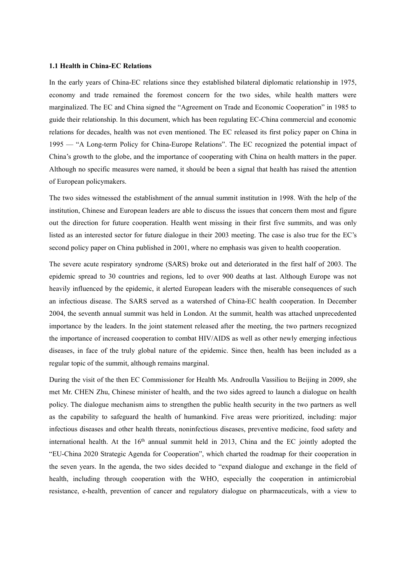#### **1.1 Health in China-EC Relations**

In the early years of China-EC relations since they established bilateral diplomatic relationship in 1975, economy and trade remained the foremost concern for the two sides, while health matters were marginalized. The EC and China signed the "Agreement on Trade and Economic Cooperation" in 1985 to guide their relationship. In this document, which has been regulating EC-China commercial and economic relations for decades, health was not even mentioned. The EC released its first policy paper on China in 1995 — "A Long-term Policy for China-Europe Relations". The EC recognized the potential impact of China's growth to the globe, and the importance of cooperating with China on health matters in the paper. Although no specific measures were named, it should be been a signal that health has raised the attention of European policymakers.

The two sides witnessed the establishment of the annual summit institution in 1998. With the help of the institution, Chinese and European leaders are able to discuss the issues that concern them most and figure out the direction for future cooperation. Health went missing in their first five summits, and was only listed as an interested sector for future dialogue in their 2003 meeting. The case is also true for the EC's second policy paper on China published in 2001, where no emphasis was given to health cooperation.

The severe acute respiratory syndrome (SARS) broke out and deteriorated in the first half of 2003. The epidemic spread to 30 countries and regions, led to over 900 deaths at last. Although Europe was not heavily influenced by the epidemic, it alerted European leaders with the miserable consequences of such an infectious disease. The SARS served as a watershed of China-EC health cooperation. In December 2004, the seventh annual summit was held in London. At the summit, health was attached unprecedented importance by the leaders. In the joint statement released after the meeting, the two partners recognized the importance of increased cooperation to combat HIV/AIDS as well as other newly emerging infectious diseases, in face of the truly global nature of the epidemic. Since then, health has been included as a regular topic of the summit, although remains marginal.

During the visit of the then EC Commissioner for Health Ms. Androulla Vassiliou to Beijing in 2009, she met Mr. CHEN Zhu, Chinese minister of health, and the two sides agreed to launch a dialogue on health policy. The dialogue mechanism aims to strengthen the public health security in the two partners as well as the capability to safeguard the health of humankind. Five areas were prioritized, including: major infectious diseases and other health threats, noninfectious diseases, preventive medicine, food safety and international health. At the 16<sup>th</sup> annual summit held in 2013, China and the EC jointly adopted the "EU-China 2020 Strategic Agenda for Cooperation", which charted the roadmap for their cooperation in the seven years. In the agenda, the two sides decided to "expand dialogue and exchange in the field of health, including through cooperation with the WHO, especially the cooperation in antimicrobial resistance, e-health, prevention of cancer and regulatory dialogue on pharmaceuticals, with a view to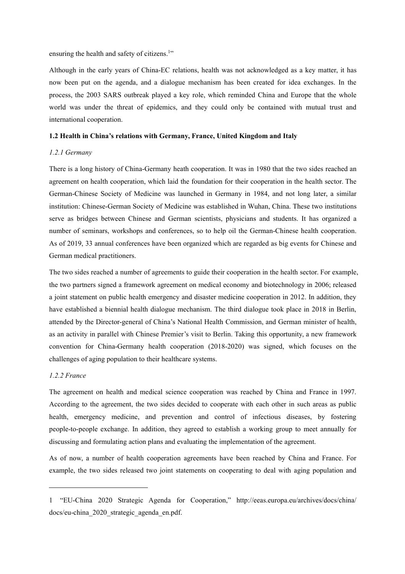ensuring the health and safety of citizens.<sup>[1](#page-5-0)"</sup>

Although in the early years of China-EC relations, health was not acknowledged as a key matter, it has now been put on the agenda, and a dialogue mechanism has been created for idea exchanges. In the process, the 2003 SARS outbreak played a key role, which reminded China and Europe that the whole world was under the threat of epidemics, and they could only be contained with mutual trust and international cooperation.

#### **1.2 Health in China's relations with Germany, France, United Kingdom and Italy**

#### *1.2.1 Germany*

There is a long history of China-Germany heath cooperation. It was in 1980 that the two sides reached an agreement on health cooperation, which laid the foundation for their cooperation in the health sector. The German-Chinese Society of Medicine was launched in Germany in 1984, and not long later, a similar institution: Chinese-German Society of Medicine was established in Wuhan, China. These two institutions serve as bridges between Chinese and German scientists, physicians and students. It has organized a number of seminars, workshops and conferences, so to help oil the German-Chinese health cooperation. As of 2019, 33 annual conferences have been organized which are regarded as big events for Chinese and German medical practitioners.

The two sides reached a number of agreements to guide their cooperation in the health sector. For example, the two partners signed a framework agreement on medical economy and biotechnology in 2006; released a joint statement on public health emergency and disaster medicine cooperation in 2012. In addition, they have established a biennial health dialogue mechanism. The third dialogue took place in 2018 in Berlin, attended by the Director-general of China's National Health Commission, and German minister of health, as an activity in parallel with Chinese Premier's visit to Berlin. Taking this opportunity, a new framework convention for China-Germany health cooperation (2018-2020) was signed, which focuses on the challenges of aging population to their healthcare systems.

#### *1.2.2 France*

The agreement on health and medical science cooperation was reached by China and France in 1997. According to the agreement, the two sides decided to cooperate with each other in such areas as public health, emergency medicine, and prevention and control of infectious diseases, by fostering people-to-people exchange. In addition, they agreed to establish a working group to meet annually for discussing and formulating action plans and evaluating the implementation of the agreement.

As of now, a number of health cooperation agreements have been reached by China and France. For example, the two sides released two joint statements on cooperating to deal with aging population and

<span id="page-5-0"></span><sup>1</sup> "EU-China 2020 Strategic Agenda for Cooperation," <http://eeas.europa.eu/archives/docs/>china/ docs/eu-china\_2020\_strategic\_agenda\_en.pdf.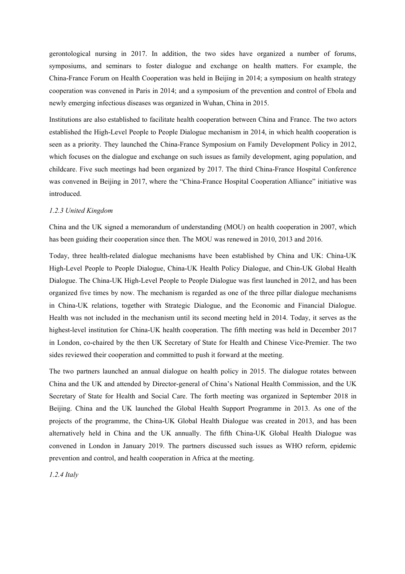gerontological nursing in 2017. In addition, the two sides have organized a number of forums, symposiums, and seminars to foster dialogue and exchange on health matters. For example, the China-France Forum on Health Cooperation was held in Beijing in 2014; a symposium on health strategy cooperation was convened in Paris in 2014; and a symposium of the prevention and control of Ebola and newly emerging infectious diseases was organized in Wuhan, China in 2015.

Institutions are also established to facilitate health cooperation between China and France. The two actors established the High-Level People to People Dialogue mechanism in 2014, in which health cooperation is seen as a priority. They launched the China-France Symposium on Family Development Policy in 2012, which focuses on the dialogue and exchange on such issues as family development, aging population, and childcare. Five such meetings had been organized by 2017. The third China-France Hospital Conference was convened in Beijing in 2017, where the "China-France Hospital Cooperation Alliance" initiative was introduced.

#### *1.2.3 United Kingdom*

China and the UK signed a memorandum of understanding (MOU) on health cooperation in 2007, which has been guiding their cooperation since then. The MOU was renewed in 2010, 2013 and 2016.

Today, three health-related dialogue mechanisms have been established by China and UK: China-UK High-Level People to People Dialogue, China-UK Health Policy Dialogue, and Chin-UK Global Health Dialogue. The China-UK High-Level People to People Dialogue was first launched in 2012, and has been organized five times by now. The mechanism is regarded as one of the three pillar dialogue mechanisms in China-UK relations, together with Strategic Dialogue, and the Economic and Financial Dialogue. Health was not included in the mechanism until its second meeting held in 2014. Today, it serves as the highest-level institution for China-UK health cooperation. The fifth meeting was held in December 2017 in London, co-chaired by the then UK Secretary of State for Health and Chinese Vice-Premier. The two sides reviewed their cooperation and committed to push it forward at the meeting.<br>The two partners launched an annual dialogue on health policy in 2015. The dialogue rotates between

China and the UK and attended by Director-general of China's National Health Commission, and the UK Secretary of State for Health and Social Care. The forth meeting was organized in September 2018 in Beijing. China and the UK launched the Global Health Support Programme in 2013. As one of the projects of the programme, the China-UK Global Health Dialogue was created in 2013, and has been alternatively held in China and the UK annually. The fifth China-UK Global Health Dialogue was convened in London in January 2019. The partners discussed such issues as WHO reform, epidemic prevention and control, and health cooperation in Africa at the meeting.

*1.2.4 Italy*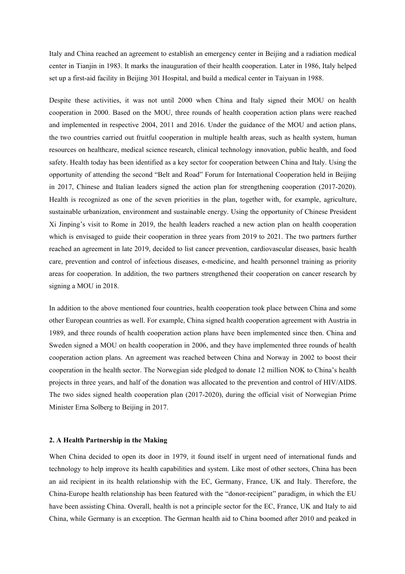Italy and China reached an agreement to establish an emergency center in Beijing and a radiation medical center in Tianjin in 1983. It marks the inauguration of their health cooperation. Later in 1986, Italy helped set up a first-aid facility in Beijing 301 Hospital, and build a medical center in Taiyuan in 1988.

Despite these activities, it was not until 2000 when China and Italy signed their MOU on health cooperation in 2000. Based on the MOU, three rounds of health cooperation action plans were reached and implemented in respective 2004, 2011 and 2016. Under the guidance of the MOU and action plans, the two countries carried out fruitful cooperation in multiple health areas, such as health system, human resources on healthcare, medical science research, clinical technology innovation, public health, and food safety. Health today has been identified as a key sector for cooperation between China and Italy. Using the opportunity of attending the second "Belt and Road" Forum for International Cooperation held in Beijing in 2017, Chinese and Italian leaders signed the action plan for strengthening cooperation (2017-2020). Health is recognized as one of the seven priorities in the plan, together with, for example, agriculture, sustainable urbanization, environment and sustainable energy. Using the opportunity of Chinese President Xi Jinping's visitto Rome in 2019, the health leaders reached a new action plan on health cooperation which is envisaged to guide their cooperation in three years from 2019 to 2021. The two partners further reached an agreement in late 2019, decided to list cancer prevention, cardiovascular diseases, basic health care, prevention and control of infectious diseases, e-medicine, and health personnel training as priority areas for cooperation. In addition, the two partners strengthened their cooperation on cancer research by signing a MOU in 2018.

In addition to the above mentioned four countries, health cooperation took place between China and some other European countries as well. For example, China signed health cooperation agreement with Austria in 1989, and three rounds of health cooperation action plans have been implemented since then.China and Sweden signed a MOU on health cooperation in 2006, and they have implemented three rounds of health cooperation action plans. An agreement was reached between China and Norway in 2002 to boost their cooperation in the health sector. The Norwegian side pledged to donate 12 million NOK to China's health projects in three years, and half of the donation was allocated to the prevention and control of HIV/AIDS. The two sides signed health cooperation plan (2017-2020), during the official visit of Norwegian Prime Minister Erna Solberg to Beijing in 2017.

#### **2. A HealthPartnership in the Making**

When China decided to open its door in 1979, it found itself in urgent need of international funds and technology to help improve its health capabilities and system. Like most of other sectors, China has been an aid recipient in its health relationship with the EC, Germany, France, UK and Italy. Therefore, the China-Europe health relationship has been featured with the "donor-recipient" paradigm, in which the EU have been assisting China. Overall, health is not a principle sector for the EC, France, UK and Italy to aid China, while Germany is an exception. The German health aid to China boomed after 2010 and peaked in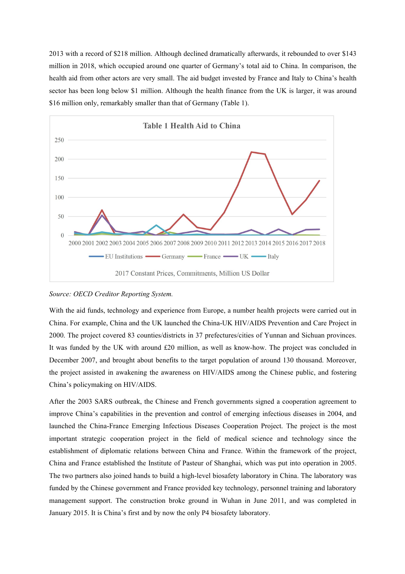2013 with a record of \$218 million. Although declined dramatically afterwards,it rebounded to over \$143 million in 2018, which occupied around one quarter of Germany's totalaid to China. In comparison, the health aid from other actors are very small. The aid budget invested by France and Italy to China's health sector has been long below \$1 million. Although the health finance from the UK is larger, it was around \$16 million only, remarkably smaller than that of Germany (Table 1).



#### *Source: OECD Creditor Reporting System.*

With the aid funds, technology and experience from Europe, a number health projects were carried out in China. For example, China and the UK launched the China-UK HIV/AIDS Prevention and Care Projectin 2000. The project covered 83 counties/districts in 37 prefectures/cities of Yunnan and Sichuan provinces. It was funded by the UK with around £20 million, as well as know-how. The project was concluded in December 2007, and brought about benefits to the target population of around 130 thousand. Moreover, the project assisted in awakening the awareness on HIV/AIDS among the Chinese public, and fostering China's policymaking on HIV/AIDS.

After the 2003 SARS outbreak, the Chinese and French governments signed a cooperation agreement to improve China's capabilities in the prevention and control of emerging infectious diseases in 2004, and launched the China-France Emerging Infectious Diseases Cooperation Project. The project is the most important strategic cooperation project in the field of medical science and technology since the establishment of diplomatic relations between China and France. Within the framework of the project, China and France established the Institute of Pasteur of Shanghai, which was put into operation in 2005. The two partners also joined hands to build a high-level biosafety laboratory in China. The laboratory was funded by the Chinese government and France provided key technology, personnel training and laboratory management support. The construction broke ground in Wuhan in June 2011, and was completed in January 2015. It is China's first and by now the only P4 biosafety laboratory.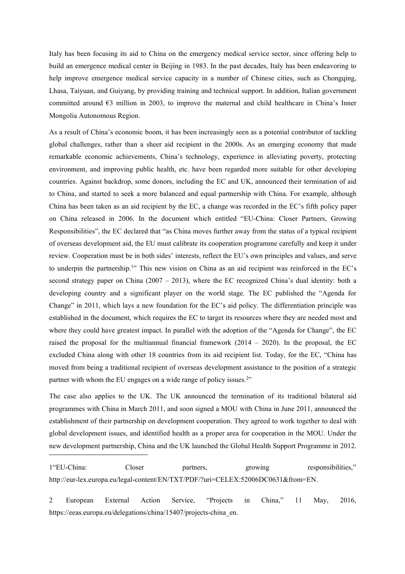Italy has been focusing its aid to China on the emergency medical service sector, since offering help to build an emergence medical center in Beijing in 1983. In the past decades, Italy has been endeavoring to help improve emergence medical service capacity in a number of Chinese cities, such as Chongqing, Lhasa, Taiyuan, and Guiyang, by providing training and technical support. In addition, Italian government committed around  $\epsilon$ 3 million in 2003, to improve the maternal and child healthcare in China's Inner Mongolia Autonomous Region.

As a result of China's economic boom, it has been increasingly seen as a potential contributor of tackling global challenges, rather than a sheer aid recipient in the 2000s.As an emerging economy that made remarkable economic achievements, China's technology, experience in alleviating poverty, protecting environment, and improving public health, etc. have been regarded more suitable for other developing countries. Against backdrop, some donors, including the EC and UK, announced their termination of aid to China, and started to seek a more balanced and equal partnership with China. For example, although China has been taken as an aid recipient by the EC, a change was recorded in the EC's fifth policy paper on China released in 2006. In the document which entitled "EU-China: Closer Partners, Growing Responsibilities", the EC declared that "as China moves further away from the status of a typical recipient of overseas development aid, the EU must calibrate its cooperation programme carefully and keep it under review. Cooperation must be in both sides' interests, reflect the EU's own principles and values, and serve to underpin the partnership.<sup>[1](#page-9-0)"</sup> This new vision on China as an aid recipient was reinforced in the EC's second strategy paper on China  $(2007 - 2013)$ , where the EC recognized China's dual identity: both a developing country and a significant player on the world stage. The EC published the "Agenda for Change" in 2011, which lays a new foundation for the EC's aid policy. The differentiation principle was established in the document, which requires the EC to target its resources where they are needed most and where they could have greatest impact. In parallel with the adoption of the "Agenda for Change", the EC raised the proposal for the multiannual financial framework  $(2014 - 2020)$ . In the proposal, the EC excluded China along with other 18 countries from its aid recipient list. Today, for the EC, "China has moved from being a traditional recipient of overseas development assistance to the position of a strategic partner with whom the EU engages on a wide range of policy issues.<sup>[2](#page-9-1)"</sup>

The case also applies to the UK. The UK announced the termination of its traditional bilateral aid programmes with China in March 2011, and soon signed a MOU with China in June 2011, announced the establishment of their partnership on development cooperation. They agreed to work together to deal with global development issues, and identified health as a proper area for cooperation in the MOU. Under the new development partnership, China and the UK launched the Global Health Support Programme in 2012.

<span id="page-9-0"></span>1"EU-China: Closer partners, growing responsibilities," [http://eur-lex.europa.eu/legal-content/EN/TXT/PDF/?uri=CELEX:52006DC0631&from=EN.](http://eur-lex.europa.eu/legal-content/EN/TXT/PDF/?uri=CELEX:52006DC0631&from=EN)

<span id="page-9-1"></span>2 European External Action Service, "Projects in China," 11 May, 2016, [https://eeas.europa.eu/delegations/c](https://eeas.europa.eu/delegations/)hina/15407/projects-china\_en.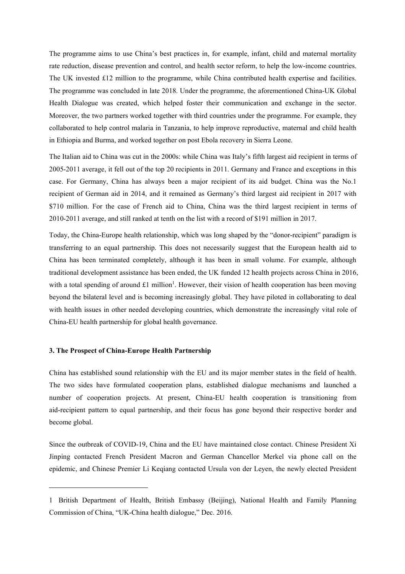The programme aims to use China's best practices in, for example, infant, child and maternal mortality rate reduction, disease prevention and control, and health sector reform, to help the low-income countries. The UK invested £12 million to the programme, while China contributed health expertise and facilities. The programme was concluded in late 2018. Under the programme, the aforementioned China-UK Global Health Dialogue was created, which helped foster their communication and exchange in the sector. Moreover, the two partners worked together with third countries under the programme. For example, they collaborated to help control malaria in Tanzania, to help improve reproductive, maternal and child health in Ethiopia and Burma, and worked together on post Ebola recovery in Sierra Leone.

The Italian aid to China was cut in the 2000s: while China was Italy's fifth largest aid recipient in terms of 2005-2011 average, it fell out of the top 20 recipients in 2011. Germany and France and exceptions in this case. For Germany, China has always been a major recipient of its aid budget. China was the No.1 recipient of German aid in 2014, and it remained as Germany's third largest aid recipient in 2017 with \$710 million. For the case of French aid to China, China was the third largest recipient in terms of 2010-2011 average, and still ranked at tenth on the list with a record of \$191 million in 2017.

Today, the China-Europe health relationship, which was long shaped by the "donor-recipient" paradigm is transferring to an equal partnership. This does not necessarily suggest that the European health aid to China has been terminated completely, although it has been in small volume. For example, although traditional development assistance has been ended, the UK funded 12 health projects across China in 2016, with a total spending of around £[1](#page-10-0) million<sup>1</sup>. However, their vision of health cooperation has been moving beyond the bilateral level and is becoming increasingly global. They have piloted in collaborating to deal with health issues in other needed developing countries, which demonstrate the increasingly vital role of China-EU health partnership for global health governance.

#### **3. The Prospect of China-Europe Health Partnership**

China has established sound relationship with the EU and its major member states in the field of health. The two sides have formulated cooperation plans, established dialogue mechanisms and launched a number of cooperation projects. At present, China-EU health cooperation is transitioning from aid-recipient pattern to equal partnership, and their focus has gone beyond their respective border and become global.

Since the outbreak of COVID-19, China and the EU have maintained close contact. Chinese President Xi Jinping contacted French President Macron and German Chancellor Merkel via phone call on the epidemic, and Chinese Premier Li Keqiang contacted Ursula von der Leyen, the newly elected President

<span id="page-10-0"></span><sup>1</sup> British Department of Health, British Embassy (Beijing), National Health and Family Planning Commission of China, "UK-China health dialogue," Dec. 2016.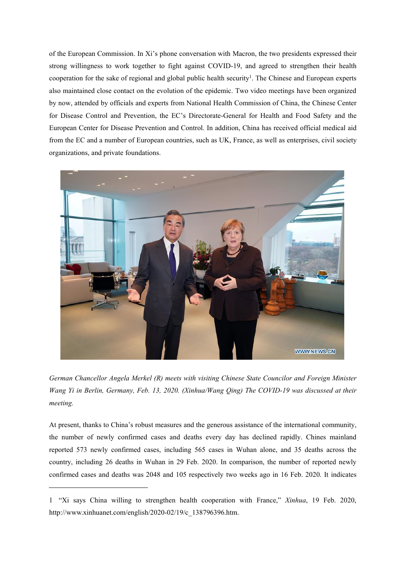of the European Commission. In Xi's phone conversation with Macron, the two presidents expressed their strong willingness to work together to fight against COVID-19, and agreed to strengthen their health cooperation for the sake of regional and global public health security [1](#page-11-0) . The Chinese and European experts also maintained close contact on the evolution of the epidemic. Two video meetings have been organized by now, attended by officials and experts from National Health Commission of China, the Chinese Center for Disease Control and Prevention, the EC's Directorate-General for Health and Food Safety and the European Center for Disease Prevention and Control. In addition, China has received official medical aid from the EC and a number of European countries, such as UK, France, as well as enterprises, civil society organizations, and private foundations.



*German Chancellor Angela Merkel (R) meets with visiting Chinese State Councilor and Foreign Minister Wang Yi in Berlin, Germany, Feb. 13, 2020. (Xinhua/Wang Qing) The COVID-19 was discussed at their meeting.*

At present, thanks to China's robust measures and the generous assistance of the international community, the number of newly confirmed cases and deaths every day has declined rapidly. Chines mainland reported 573 newly confirmed cases, including 565 cases in Wuhan alone, and 35 deaths across the country, including 26 deaths in Wuhan in 29 Feb.2020. In comparison, the number of reported newly confirmed cases and deaths was 2048 and 105 respectively two weeks ago in 16 Feb. 2020. It indicates

<span id="page-11-0"></span><sup>1</sup> "Xi says China willing to strengthen health cooperation with France," *Xinhua*, 19 Feb. 2020, http://www.xinhuanet.com/english/2020-02/19/c\_138796396.htm.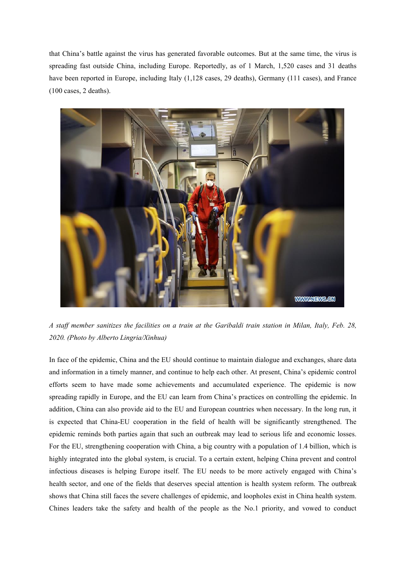that China's battle against the virus has generated favorable outcomes. But at the same time, the virus is spreading fast outside China, including Europe. Reportedly, as of 1 March, 1,520 cases and 31 deaths have been reported in Europe, including Italy (1,128 cases, 29 deaths), Germany (111 cases), and France (100 cases, 2 deaths).



A staff member sanitizes the facilities on a train at the Garibaldi train station in Milan, Italy, Feb. 28, *2020. (Photo by Alberto Lingria/Xinhua)*

In face of the epidemic, China and the EU should continue to maintain dialogue and exchanges, share data and information in a timely manner, and continue to help each other.At present, China's epidemic control efforts seem to have made some achievements and accumulated experience. The epidemic is now spreading rapidly in Europe, and the EU can learn from China's practices on controlling the epidemic. In addition, China can also provide aid to the EU and European countries when necessary. In the long run, it is expected that China-EU cooperation in the field of health will be significantly strengthened. The epidemic reminds both parties again that such an outbreak may lead to serious life and economic losses. For the EU, strengthening cooperation with China, a big country with a population of 1.4 billion, which is highly integrated into the global system, is crucial. To a certain extent, helping China prevent and control infectious diseases is helping Europe itself. The EU needs to bemore actively engaged with China's health sector, and one of the fields that deserves special attention is health system reform. The outbreak shows that China still faces the severe challenges of epidemic, and loopholes existin China health system. Chines leaders take the safety and health of the people as the No.1 priority, and vowed to conduct